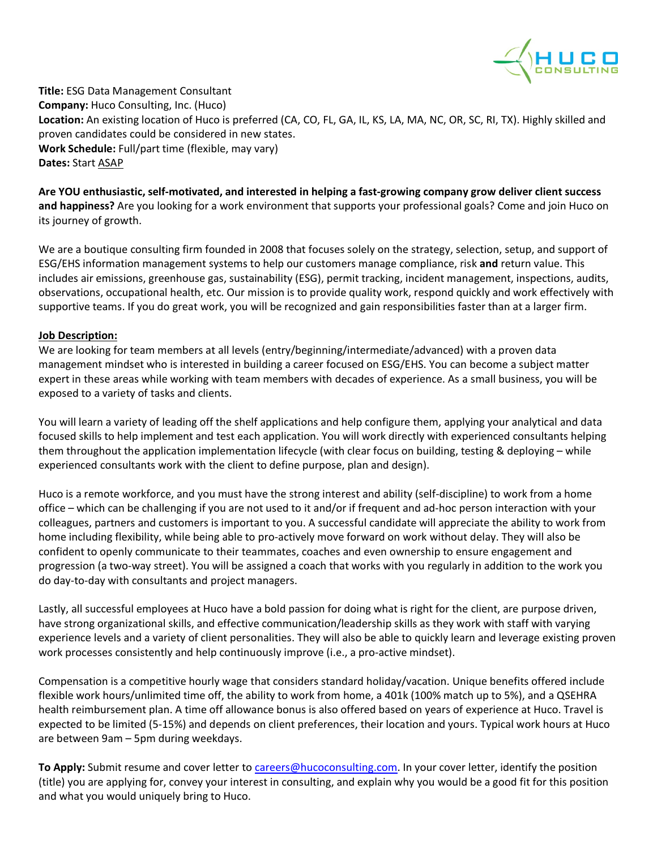

**Title:** ESG Data Management Consultant **Company:** Huco Consulting, Inc. (Huco) **Location:** An existing location of Huco is preferred (CA, CO, FL, GA, IL, KS, LA, MA, NC, OR, SC, RI, TX). Highly skilled and proven candidates could be considered in new states. **Work Schedule:** Full/part time (flexible, may vary) **Dates:** Start ASAP

**Are YOU enthusiastic, self-motivated, and interested in helping a fast-growing company grow deliver client success and happiness?** Are you looking for a work environment that supports your professional goals? Come and join Huco on its journey of growth.

We are a boutique consulting firm founded in 2008 that focuses solely on the strategy, selection, setup, and support of ESG/EHS information management systems to help our customers manage compliance, risk **and** return value. This includes air emissions, greenhouse gas, sustainability (ESG), permit tracking, incident management, inspections, audits, observations, occupational health, etc. Our mission is to provide quality work, respond quickly and work effectively with supportive teams. If you do great work, you will be recognized and gain responsibilities faster than at a larger firm.

## **Job Description:**

We are looking for team members at all levels (entry/beginning/intermediate/advanced) with a proven data management mindset who is interested in building a career focused on ESG/EHS. You can become a subject matter expert in these areas while working with team members with decades of experience. As a small business, you will be exposed to a variety of tasks and clients.

You will learn a variety of leading off the shelf applications and help configure them, applying your analytical and data focused skills to help implement and test each application. You will work directly with experienced consultants helping them throughout the application implementation lifecycle (with clear focus on building, testing & deploying – while experienced consultants work with the client to define purpose, plan and design).

Huco is a remote workforce, and you must have the strong interest and ability (self-discipline) to work from a home office – which can be challenging if you are not used to it and/or if frequent and ad-hoc person interaction with your colleagues, partners and customers is important to you. A successful candidate will appreciate the ability to work from home including flexibility, while being able to pro-actively move forward on work without delay. They will also be confident to openly communicate to their teammates, coaches and even ownership to ensure engagement and progression (a two-way street). You will be assigned a coach that works with you regularly in addition to the work you do day-to-day with consultants and project managers.

Lastly, all successful employees at Huco have a bold passion for doing what is right for the client, are purpose driven, have strong organizational skills, and effective communication/leadership skills as they work with staff with varying experience levels and a variety of client personalities. They will also be able to quickly learn and leverage existing proven work processes consistently and help continuously improve (i.e., a pro-active mindset).

Compensation is a competitive hourly wage that considers standard holiday/vacation. Unique benefits offered include flexible work hours/unlimited time off, the ability to work from home, a 401k (100% match up to 5%), and a QSEHRA health reimbursement plan. A time off allowance bonus is also offered based on years of experience at Huco. Travel is expected to be limited (5-15%) and depends on client preferences, their location and yours. Typical work hours at Huco are between 9am – 5pm during weekdays.

**To Apply:** Submit resume and cover letter to [careers@hucoconsulting.com.](mailto:careers@hucoconsulting.com) In your cover letter, identify the position (title) you are applying for, convey your interest in consulting, and explain why you would be a good fit for this position and what you would uniquely bring to Huco.